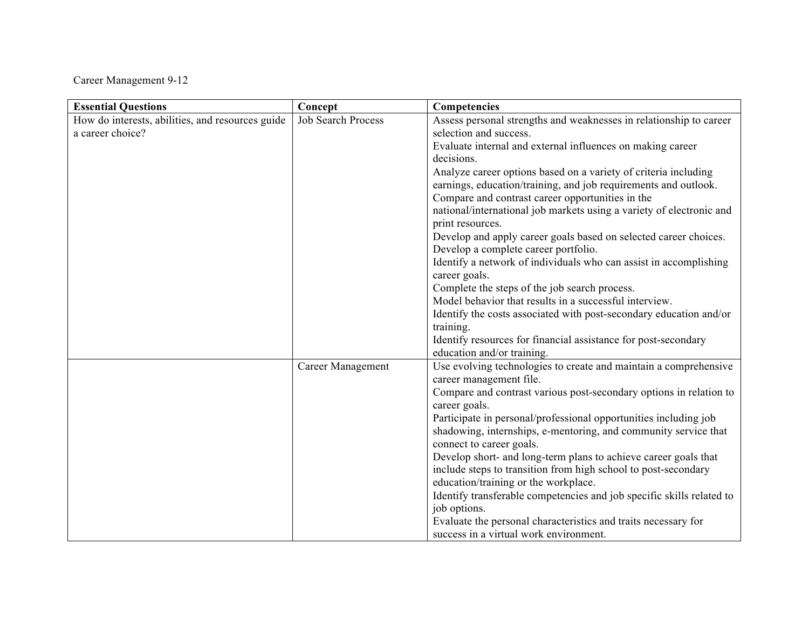Career Management 9-12

| <b>Essential Questions</b>                       | Concept                   | Competencies                                                                                |
|--------------------------------------------------|---------------------------|---------------------------------------------------------------------------------------------|
| How do interests, abilities, and resources guide | <b>Job Search Process</b> | Assess personal strengths and weaknesses in relationship to career                          |
| a career choice?                                 |                           | selection and success.                                                                      |
|                                                  |                           | Evaluate internal and external influences on making career                                  |
|                                                  |                           | decisions.                                                                                  |
|                                                  |                           | Analyze career options based on a variety of criteria including                             |
|                                                  |                           | earnings, education/training, and job requirements and outlook.                             |
|                                                  |                           | Compare and contrast career opportunities in the                                            |
|                                                  |                           | national/international job markets using a variety of electronic and                        |
|                                                  |                           | print resources.                                                                            |
|                                                  |                           | Develop and apply career goals based on selected career choices.                            |
|                                                  |                           | Develop a complete career portfolio.                                                        |
|                                                  |                           | Identify a network of individuals who can assist in accomplishing                           |
|                                                  |                           | career goals.                                                                               |
|                                                  |                           | Complete the steps of the job search process.                                               |
|                                                  |                           | Model behavior that results in a successful interview.                                      |
|                                                  |                           | Identify the costs associated with post-secondary education and/or                          |
|                                                  |                           | training.                                                                                   |
|                                                  |                           | Identify resources for financial assistance for post-secondary                              |
|                                                  |                           | education and/or training.                                                                  |
|                                                  | Career Management         | Use evolving technologies to create and maintain a comprehensive<br>career management file. |
|                                                  |                           | Compare and contrast various post-secondary options in relation to                          |
|                                                  |                           | career goals.                                                                               |
|                                                  |                           | Participate in personal/professional opportunities including job                            |
|                                                  |                           | shadowing, internships, e-mentoring, and community service that                             |
|                                                  |                           | connect to career goals.                                                                    |
|                                                  |                           | Develop short- and long-term plans to achieve career goals that                             |
|                                                  |                           | include steps to transition from high school to post-secondary                              |
|                                                  |                           | education/training or the workplace.                                                        |
|                                                  |                           | Identify transferable competencies and job specific skills related to                       |
|                                                  |                           | job options.                                                                                |
|                                                  |                           | Evaluate the personal characteristics and traits necessary for                              |
|                                                  |                           | success in a virtual work environment.                                                      |